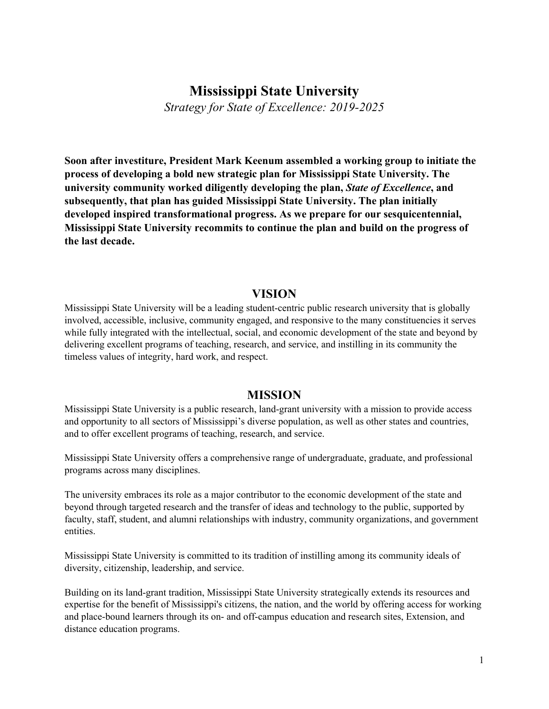## **Mississippi State University**

*Strategy for State of Excellence: 2019-2025*

**Soon after investiture, President Mark Keenum assembled a working group to initiate the process of developing a bold new strategic plan for Mississippi State University. The university community worked diligently developing the plan,** *State of Excellence***, and subsequently, that plan has guided Mississippi State University. The plan initially developed inspired transformational progress. As we prepare for our sesquicentennial, Mississippi State University recommits to continue the plan and build on the progress of the last decade.**

### **VISION**

Mississippi State University will be a leading student-centric public research university that is globally involved, accessible, inclusive, community engaged, and responsive to the many constituencies it serves while fully integrated with the intellectual, social, and economic development of the state and beyond by delivering excellent programs of teaching, research, and service, and instilling in its community the timeless values of integrity, hard work, and respect.

### **MISSION**

Mississippi State University is a public research, land-grant university with a mission to provide access and opportunity to all sectors of Mississippi's diverse population, as well as other states and countries, and to offer excellent programs of teaching, research, and service.

Mississippi State University offers a comprehensive range of undergraduate, graduate, and professional programs across many disciplines.

The university embraces its role as a major contributor to the economic development of the state and beyond through targeted research and the transfer of ideas and technology to the public, supported by faculty, staff, student, and alumni relationships with industry, community organizations, and government entities.

Mississippi State University is committed to its tradition of instilling among its community ideals of diversity, citizenship, leadership, and service.

Building on its land-grant tradition, Mississippi State University strategically extends its resources and expertise for the benefit of Mississippi's citizens, the nation, and the world by offering access for working and place-bound learners through its on- and off-campus education and research sites, Extension, and distance education programs.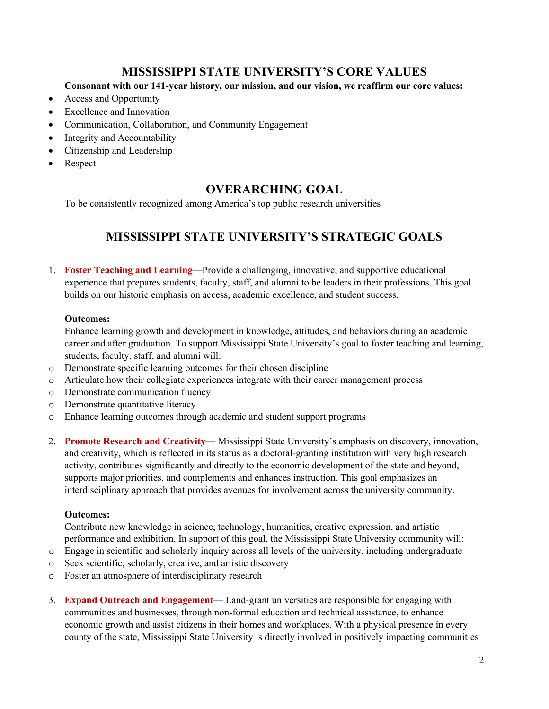# **MISSISSIPPI STATE UNIVERSITY'S CORE VALUES**

### **Consonant with our 141-year history, our mission, and our vision, we reaffirm our core values:**

- Access and Opportunity
- **Excellence and Innovation**
- Communication, Collaboration, and Community Engagement
- Integrity and Accountability
- Citizenship and Leadership
- **Respect**

## **OVERARCHING GOAL**

To be consistently recognized among America's top public research universities

# **MISSISSIPPI STATE UNIVERSITY'S STRATEGIC GOALS**

1. **Foster Teaching and Learning**—Provide a challenging, innovative, and supportive educational experience that prepares students, faculty, staff, and alumni to be leaders in their professions. This goal builds on our historic emphasis on access, academic excellence, and student success.

#### **Outcomes:**

Enhance learning growth and development in knowledge, attitudes, and behaviors during an academic career and after graduation. To support Mississippi State University's goal to foster teaching and learning, students, faculty, staff, and alumni will:

- o Demonstrate specific learning outcomes for their chosen discipline
- o Articulate how their collegiate experiences integrate with their career management process
- o Demonstrate communication fluency
- o Demonstrate quantitative literacy
- o Enhance learning outcomes through academic and student support programs
- 2. **Promote Research and Creativity** Mississippi State University's emphasis on discovery, innovation, and creativity, which is reflected in its status as a doctoral-granting institution with very high research activity, contributes significantly and directly to the economic development of the state and beyond, supports major priorities, and complements and enhances instruction. This goal emphasizes an interdisciplinary approach that provides avenues for involvement across the university community.

### **Outcomes:**

Contribute new knowledge in science, technology, humanities, creative expression, and artistic performance and exhibition. In support of this goal, the Mississippi State University community will:

- o Engage in scientific and scholarly inquiry across all levels of the university, including undergraduate
- o Seek scientific, scholarly, creative, and artistic discovery
- o Foster an atmosphere of interdisciplinary research
- 3. **Expand Outreach and Engagement** Land-grant universities are responsible for engaging with communities and businesses, through non-formal education and technical assistance, to enhance economic growth and assist citizens in their homes and workplaces. With a physical presence in every county of the state, Mississippi State University is directly involved in positively impacting communities